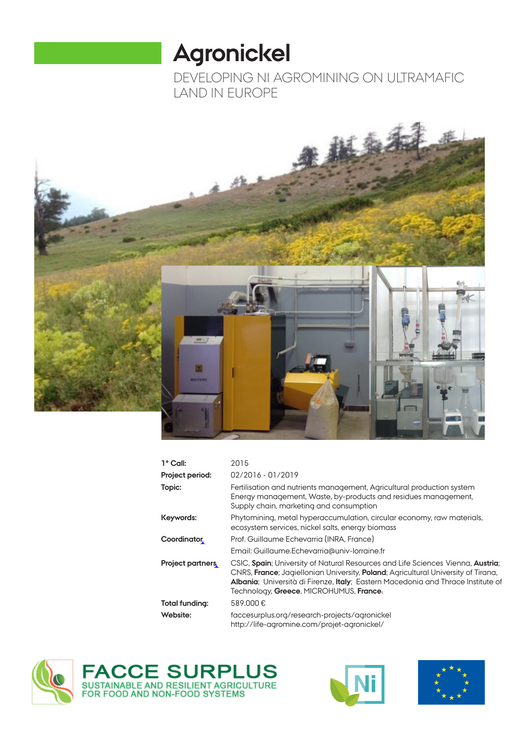# **Agronickel**

DEVELOPING NI AGROMINING ON ULTRAMAFIC LAND IN EUROPE



| $1^{\circ}$ Call:       | 2015                                                                                                                                                                                                                                                                                                                |
|-------------------------|---------------------------------------------------------------------------------------------------------------------------------------------------------------------------------------------------------------------------------------------------------------------------------------------------------------------|
| Project period:         | $02/2016 - 01/2019$                                                                                                                                                                                                                                                                                                 |
| Topic:                  | Fertilisation and nutrients management, Agricultural production system<br>Energy management, Waste, by-products and residues management,<br>Supply chain, marketing and consumption                                                                                                                                 |
| Keywords:               | Phytomining, metal hyperaccumulation, circular economy, raw materials,<br>ecosystem services, nickel salts, energy biomass                                                                                                                                                                                          |
| <b>Coordinator</b>      | Prof. Guillaume Echevarria (INRA, France)                                                                                                                                                                                                                                                                           |
|                         | Email: Guillaume.Echevarria@univ-lorraine.fr                                                                                                                                                                                                                                                                        |
| <b>Project partners</b> | CSIC, Spain; University of Natural Resources and Life Sciences Vienna, Austria;<br>CNRS, <b>France</b> ; Jagiellonian University, <b>Poland</b> ; Agricultural University of Tirana,<br>Albania; Università di Firenze, Italy; Eastern Macedonia and Thrace Institute of<br>Technology, Greece, MICROHUMUS, France- |
| Total funding:          | 589.000€                                                                                                                                                                                                                                                                                                            |
| Website:                | faccesurplus.org/research-projects/agronickel<br>http://life-agromine.com/projet-agronickel/                                                                                                                                                                                                                        |